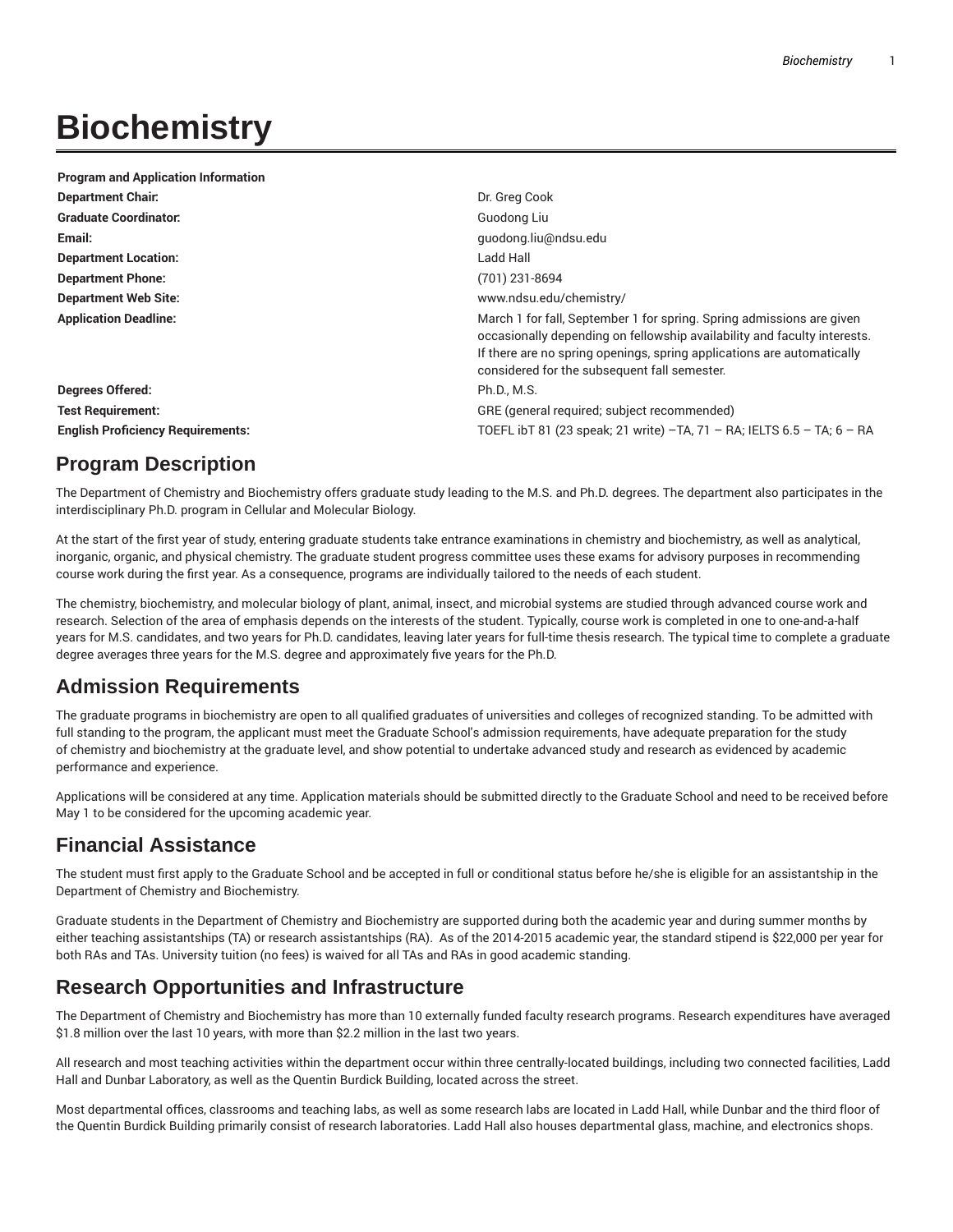# **Biochemistry**

| <b>Program and Application Information</b> |                                                                                                                                                                                                                                                                             |
|--------------------------------------------|-----------------------------------------------------------------------------------------------------------------------------------------------------------------------------------------------------------------------------------------------------------------------------|
| <b>Department Chair.</b>                   | Dr. Greg Cook                                                                                                                                                                                                                                                               |
| <b>Graduate Coordinator:</b>               | Guodong Liu                                                                                                                                                                                                                                                                 |
| Email:                                     | guodong.liu@ndsu.edu                                                                                                                                                                                                                                                        |
| <b>Department Location:</b>                | Ladd Hall                                                                                                                                                                                                                                                                   |
| <b>Department Phone:</b>                   | (701) 231-8694                                                                                                                                                                                                                                                              |
| <b>Department Web Site:</b>                | www.ndsu.edu/chemistry/                                                                                                                                                                                                                                                     |
| <b>Application Deadline:</b>               | March 1 for fall, September 1 for spring. Spring admissions are given<br>occasionally depending on fellowship availability and faculty interests.<br>If there are no spring openings, spring applications are automatically<br>considered for the subsequent fall semester. |
| Degrees Offered:                           | Ph.D., M.S.                                                                                                                                                                                                                                                                 |
| <b>Test Requirement:</b>                   | GRE (general required; subject recommended)                                                                                                                                                                                                                                 |
| <b>English Proficiency Requirements:</b>   | TOEFL ibT 81 (23 speak; 21 write) -TA, 71 - RA; IELTS 6.5 - TA; 6 - RA                                                                                                                                                                                                      |

# **Program Description**

The Department of Chemistry and Biochemistry offers graduate study leading to the M.S. and Ph.D. degrees. The department also participates in the interdisciplinary Ph.D. program in Cellular and Molecular Biology.

At the start of the first year of study, entering graduate students take entrance examinations in chemistry and biochemistry, as well as analytical, inorganic, organic, and physical chemistry. The graduate student progress committee uses these exams for advisory purposes in recommending course work during the first year. As a consequence, programs are individually tailored to the needs of each student.

The chemistry, biochemistry, and molecular biology of plant, animal, insect, and microbial systems are studied through advanced course work and research. Selection of the area of emphasis depends on the interests of the student. Typically, course work is completed in one to one-and-a-half years for M.S. candidates, and two years for Ph.D. candidates, leaving later years for full-time thesis research. The typical time to complete a graduate degree averages three years for the M.S. degree and approximately five years for the Ph.D.

# **Admission Requirements**

The graduate programs in biochemistry are open to all qualified graduates of universities and colleges of recognized standing. To be admitted with full standing to the program, the applicant must meet the Graduate School's admission requirements, have adequate preparation for the study of chemistry and biochemistry at the graduate level, and show potential to undertake advanced study and research as evidenced by academic performance and experience.

Applications will be considered at any time. Application materials should be submitted directly to the Graduate School and need to be received before May 1 to be considered for the upcoming academic year.

# **Financial Assistance**

The student must first apply to the Graduate School and be accepted in full or conditional status before he/she is eligible for an assistantship in the Department of Chemistry and Biochemistry.

Graduate students in the Department of Chemistry and Biochemistry are supported during both the academic year and during summer months by either teaching assistantships (TA) or research assistantships (RA). As of the 2014-2015 academic year, the standard stipend is \$22,000 per year for both RAs and TAs. University tuition (no fees) is waived for all TAs and RAs in good academic standing.

# **Research Opportunities and Infrastructure**

The Department of Chemistry and Biochemistry has more than 10 externally funded faculty research programs. Research expenditures have averaged \$1.8 million over the last 10 years, with more than \$2.2 million in the last two years.

All research and most teaching activities within the department occur within three centrally-located buildings, including two connected facilities, Ladd Hall and Dunbar Laboratory, as well as the Quentin Burdick Building, located across the street.

Most departmental offices, classrooms and teaching labs, as well as some research labs are located in Ladd Hall, while Dunbar and the third floor of the Quentin Burdick Building primarily consist of research laboratories. Ladd Hall also houses departmental glass, machine, and electronics shops.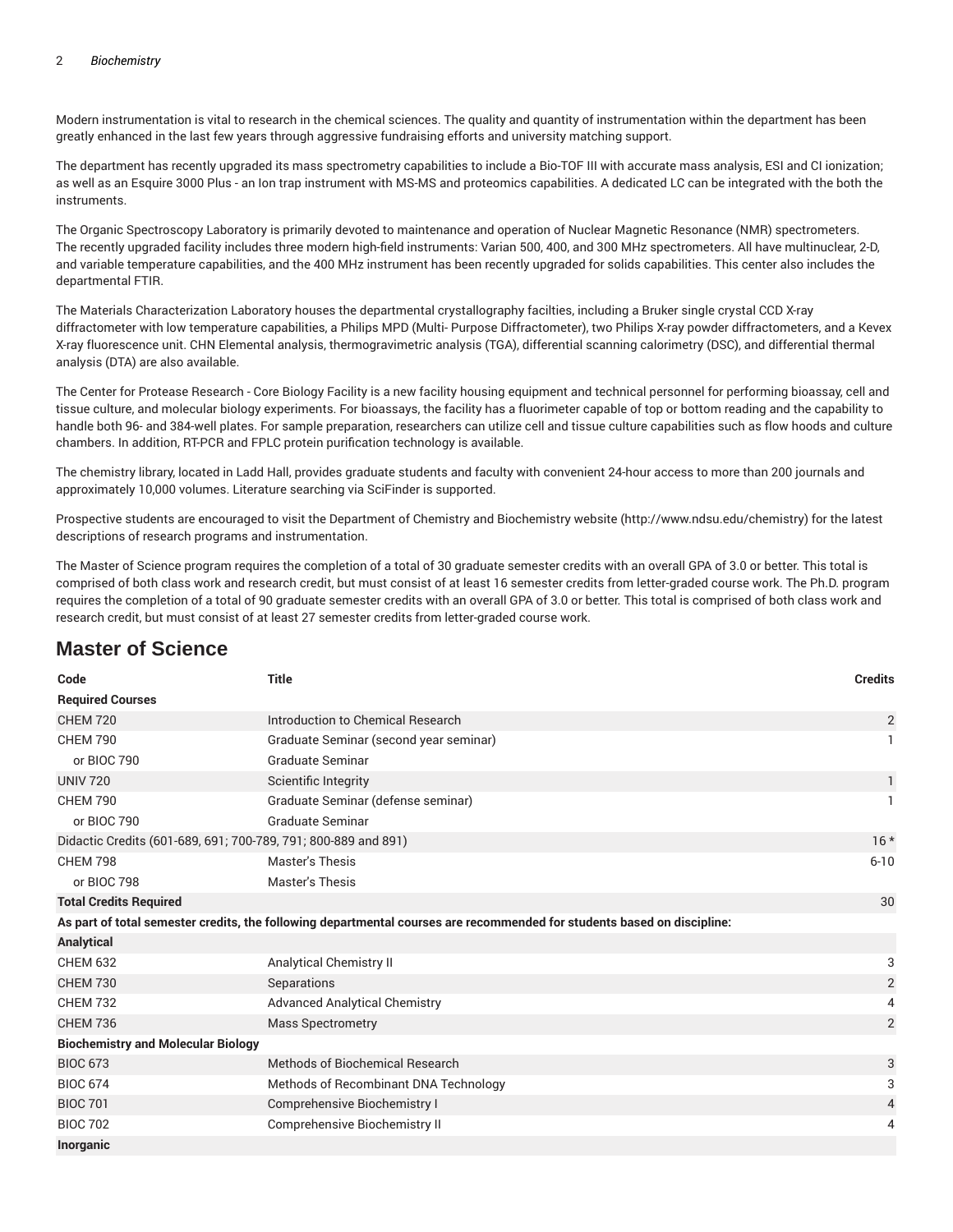Modern instrumentation is vital to research in the chemical sciences. The quality and quantity of instrumentation within the department has been greatly enhanced in the last few years through aggressive fundraising efforts and university matching support.

The department has recently upgraded its mass spectrometry capabilities to include a Bio-TOF III with accurate mass analysis, ESI and CI ionization; as well as an Esquire 3000 Plus - an Ion trap instrument with MS-MS and proteomics capabilities. A dedicated LC can be integrated with the both the instruments.

The Organic Spectroscopy Laboratory is primarily devoted to maintenance and operation of Nuclear Magnetic Resonance (NMR) spectrometers. The recently upgraded facility includes three modern high-field instruments: Varian 500, 400, and 300 MHz spectrometers. All have multinuclear, 2-D, and variable temperature capabilities, and the 400 MHz instrument has been recently upgraded for solids capabilities. This center also includes the departmental FTIR.

The Materials Characterization Laboratory houses the departmental crystallography facilties, including a Bruker single crystal CCD X-ray diffractometer with low temperature capabilities, a Philips MPD (Multi- Purpose Diffractometer), two Philips X-ray powder diffractometers, and a Kevex X-ray fluorescence unit. CHN Elemental analysis, thermogravimetric analysis (TGA), differential scanning calorimetry (DSC), and differential thermal analysis (DTA) are also available.

The Center for Protease Research - Core Biology Facility is a new facility housing equipment and technical personnel for performing bioassay, cell and tissue culture, and molecular biology experiments. For bioassays, the facility has a fluorimeter capable of top or bottom reading and the capability to handle both 96- and 384-well plates. For sample preparation, researchers can utilize cell and tissue culture capabilities such as flow hoods and culture chambers. In addition, RT-PCR and FPLC protein purification technology is available.

The chemistry library, located in Ladd Hall, provides graduate students and faculty with convenient 24-hour access to more than 200 journals and approximately 10,000 volumes. Literature searching via SciFinder is supported.

Prospective students are encouraged to visit the Department of Chemistry and Biochemistry website (http://www.ndsu.edu/chemistry) for the latest descriptions of research programs and instrumentation.

The Master of Science program requires the completion of a total of 30 graduate semester credits with an overall GPA of 3.0 or better. This total is comprised of both class work and research credit, but must consist of at least 16 semester credits from letter-graded course work. The Ph.D. program requires the completion of a total of 90 graduate semester credits with an overall GPA of 3.0 or better. This total is comprised of both class work and research credit, but must consist of at least 27 semester credits from letter-graded course work.

# **Master of Science**

| Code                                                           | <b>Title</b>                                                                                                            | <b>Credits</b> |
|----------------------------------------------------------------|-------------------------------------------------------------------------------------------------------------------------|----------------|
| <b>Required Courses</b>                                        |                                                                                                                         |                |
| <b>CHEM 720</b>                                                | Introduction to Chemical Research                                                                                       | $\overline{2}$ |
| <b>CHEM 790</b>                                                | Graduate Seminar (second year seminar)                                                                                  |                |
| or BIOC 790                                                    | Graduate Seminar                                                                                                        |                |
| <b>UNIV 720</b>                                                | Scientific Integrity                                                                                                    | 1              |
| <b>CHEM 790</b>                                                | Graduate Seminar (defense seminar)                                                                                      | $\mathbf{1}$   |
| or BIOC 790                                                    | <b>Graduate Seminar</b>                                                                                                 |                |
| Didactic Credits (601-689, 691; 700-789, 791; 800-889 and 891) |                                                                                                                         | $16*$          |
| <b>CHEM 798</b>                                                | Master's Thesis                                                                                                         | $6 - 10$       |
| or BIOC 798                                                    | Master's Thesis                                                                                                         |                |
| <b>Total Credits Required</b>                                  |                                                                                                                         | 30             |
|                                                                | As part of total semester credits, the following departmental courses are recommended for students based on discipline: |                |
| Analytical                                                     |                                                                                                                         |                |
| <b>CHEM 632</b>                                                | <b>Analytical Chemistry II</b>                                                                                          | 3              |
| <b>CHEM 730</b>                                                | Separations                                                                                                             | $\overline{2}$ |
| <b>CHEM 732</b>                                                | <b>Advanced Analytical Chemistry</b>                                                                                    | 4              |
| <b>CHEM 736</b>                                                | <b>Mass Spectrometry</b>                                                                                                | $\overline{2}$ |
| <b>Biochemistry and Molecular Biology</b>                      |                                                                                                                         |                |
| <b>BIOC 673</b>                                                | Methods of Biochemical Research                                                                                         | 3              |
| <b>BIOC 674</b>                                                | Methods of Recombinant DNA Technology                                                                                   | 3              |
| <b>BIOC 701</b>                                                | Comprehensive Biochemistry I                                                                                            | 4              |
| <b>BIOC 702</b>                                                | <b>Comprehensive Biochemistry II</b>                                                                                    | 4              |
| <b>Inorganic</b>                                               |                                                                                                                         |                |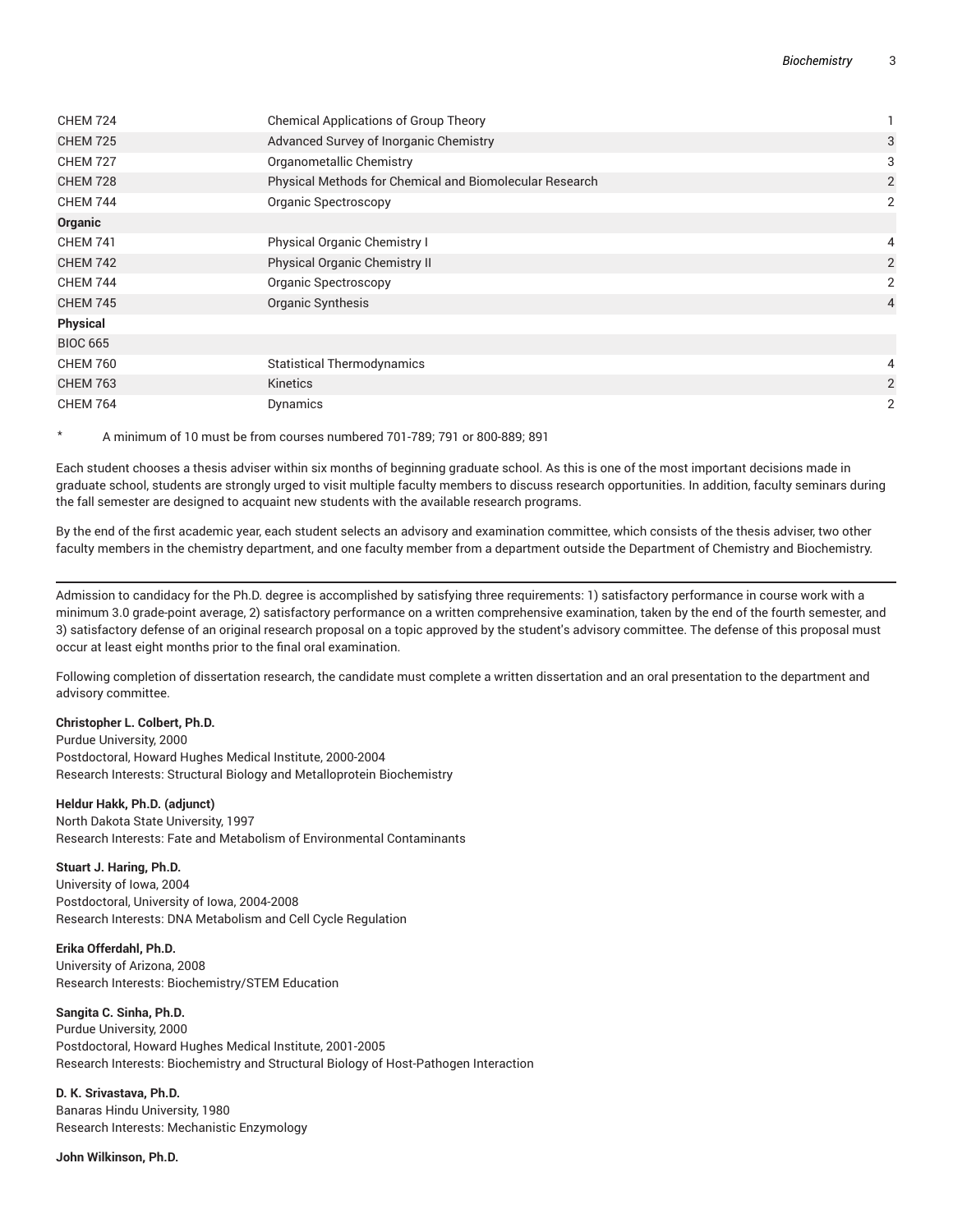| <b>CHEM 724</b> | <b>Chemical Applications of Group Theory</b>            |                |
|-----------------|---------------------------------------------------------|----------------|
| <b>CHEM 725</b> | Advanced Survey of Inorganic Chemistry                  | 3              |
| <b>CHEM 727</b> | Organometallic Chemistry                                | 3              |
| <b>CHEM 728</b> | Physical Methods for Chemical and Biomolecular Research | 2              |
| <b>CHEM 744</b> | Organic Spectroscopy                                    | 2              |
| Organic         |                                                         |                |
| <b>CHEM 741</b> | Physical Organic Chemistry I                            | 4              |
| <b>CHEM 742</b> | Physical Organic Chemistry II                           | $\overline{2}$ |
| <b>CHEM 744</b> | Organic Spectroscopy                                    | 2              |
| <b>CHEM 745</b> | Organic Synthesis                                       | $\overline{4}$ |
| <b>Physical</b> |                                                         |                |
| <b>BIOC 665</b> |                                                         |                |
| <b>CHEM 760</b> | <b>Statistical Thermodynamics</b>                       | 4              |
| <b>CHEM 763</b> | Kinetics                                                | 2              |
| <b>CHEM 764</b> | Dynamics                                                | 2              |

\* A minimum of 10 must be from courses numbered 701-789; 791 or 800-889; 891

Each student chooses a thesis adviser within six months of beginning graduate school. As this is one of the most important decisions made in graduate school, students are strongly urged to visit multiple faculty members to discuss research opportunities. In addition, faculty seminars during the fall semester are designed to acquaint new students with the available research programs.

By the end of the first academic year, each student selects an advisory and examination committee, which consists of the thesis adviser, two other faculty members in the chemistry department, and one faculty member from a department outside the Department of Chemistry and Biochemistry.

Admission to candidacy for the Ph.D. degree is accomplished by satisfying three requirements: 1) satisfactory performance in course work with a minimum 3.0 grade-point average, 2) satisfactory performance on a written comprehensive examination, taken by the end of the fourth semester, and 3) satisfactory defense of an original research proposal on a topic approved by the student's advisory committee. The defense of this proposal must occur at least eight months prior to the final oral examination.

Following completion of dissertation research, the candidate must complete a written dissertation and an oral presentation to the department and advisory committee.

#### **Christopher L. Colbert, Ph.D.**

Purdue University, 2000 Postdoctoral, Howard Hughes Medical Institute, 2000-2004 Research Interests: Structural Biology and Metalloprotein Biochemistry

#### **Heldur Hakk, Ph.D. (adjunct)**

North Dakota State University, 1997 Research Interests: Fate and Metabolism of Environmental Contaminants

**Stuart J. Haring, Ph.D.** University of Iowa, 2004 Postdoctoral, University of Iowa, 2004-2008 Research Interests: DNA Metabolism and Cell Cycle Regulation

**Erika Offerdahl, Ph.D.** University of Arizona, 2008 Research Interests: Biochemistry/STEM Education

**Sangita C. Sinha, Ph.D.** Purdue University, 2000 Postdoctoral, Howard Hughes Medical Institute, 2001-2005 Research Interests: Biochemistry and Structural Biology of Host-Pathogen Interaction

**D. K. Srivastava, Ph.D.** Banaras Hindu University, 1980 Research Interests: Mechanistic Enzymology

**John Wilkinson, Ph.D.**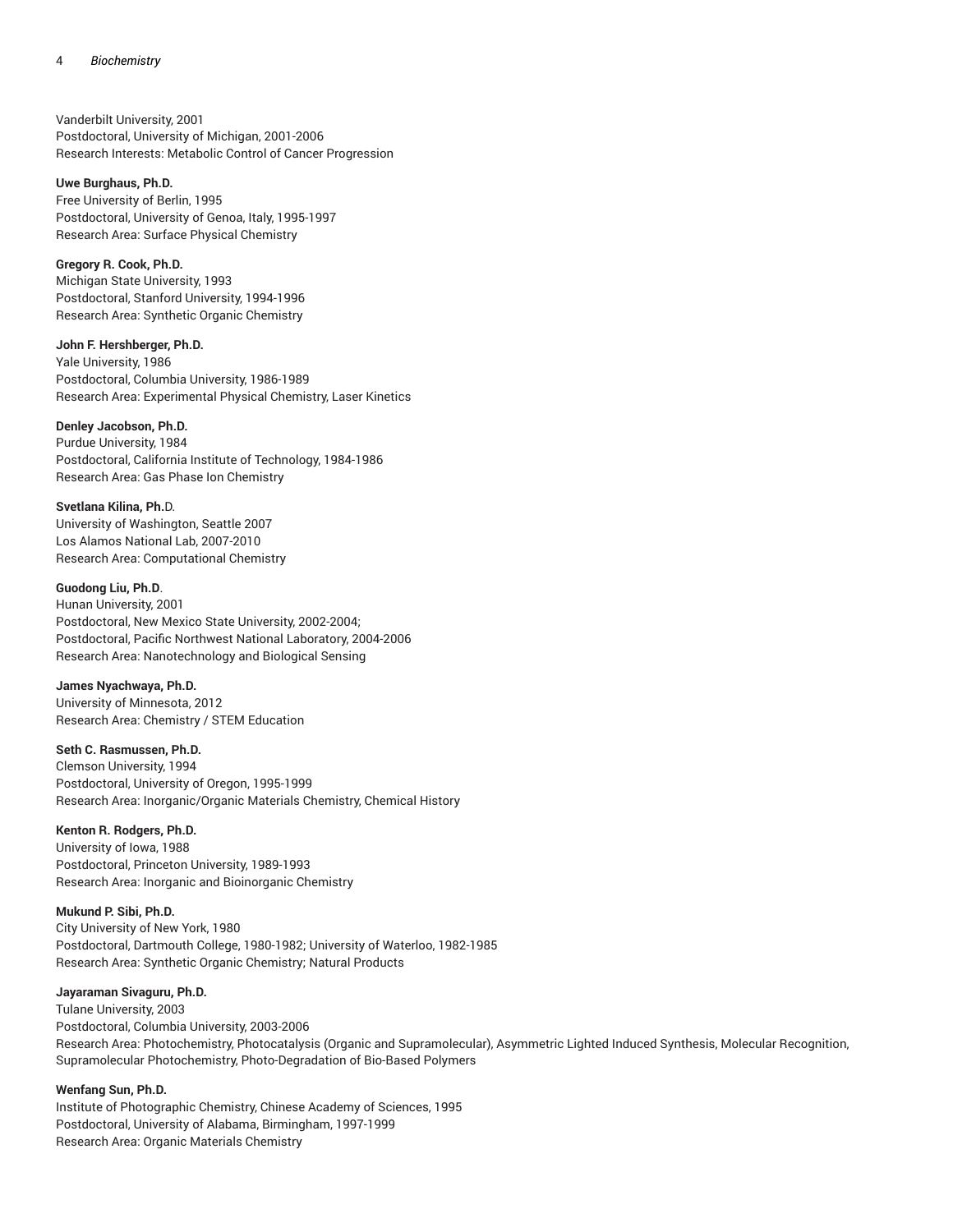Vanderbilt University, 2001 Postdoctoral, University of Michigan, 2001-2006 Research Interests: Metabolic Control of Cancer Progression

#### **Uwe Burghaus, Ph.D.**

Free University of Berlin, 1995 Postdoctoral, University of Genoa, Italy, 1995-1997 Research Area: Surface Physical Chemistry

#### **Gregory R. Cook, Ph.D.**

Michigan State University, 1993 Postdoctoral, Stanford University, 1994-1996 Research Area: Synthetic Organic Chemistry

#### **John F. Hershberger, Ph.D.**

Yale University, 1986 Postdoctoral, Columbia University, 1986-1989 Research Area: Experimental Physical Chemistry, Laser Kinetics

#### **Denley Jacobson, Ph.D.**

Purdue University, 1984 Postdoctoral, California Institute of Technology, 1984-1986 Research Area: Gas Phase Ion Chemistry

### **Svetlana Kilina, Ph.**D.

University of Washington, Seattle 2007 Los Alamos National Lab, 2007-2010 Research Area: Computational Chemistry

### **Guodong Liu, Ph.D**.

Hunan University, 2001 Postdoctoral, New Mexico State University, 2002-2004; Postdoctoral, Pacific Northwest National Laboratory, 2004-2006 Research Area: Nanotechnology and Biological Sensing

#### **James Nyachwaya, Ph.D.**

University of Minnesota, 2012 Research Area: Chemistry / STEM Education

### **Seth C. Rasmussen, Ph.D.**

Clemson University, 1994 Postdoctoral, University of Oregon, 1995-1999 Research Area: Inorganic/Organic Materials Chemistry, Chemical History

### **Kenton R. Rodgers, Ph.D.**

University of Iowa, 1988 Postdoctoral, Princeton University, 1989-1993 Research Area: Inorganic and Bioinorganic Chemistry

#### **Mukund P. Sibi, Ph.D.**

City University of New York, 1980 Postdoctoral, Dartmouth College, 1980-1982; University of Waterloo, 1982-1985 Research Area: Synthetic Organic Chemistry; Natural Products

### **Jayaraman Sivaguru, Ph.D.**

Tulane University, 2003 Postdoctoral, Columbia University, 2003-2006 Research Area: Photochemistry, Photocatalysis (Organic and Supramolecular), Asymmetric Lighted Induced Synthesis, Molecular Recognition, Supramolecular Photochemistry, Photo-Degradation of Bio-Based Polymers

#### **Wenfang Sun, Ph.D.**

Institute of Photographic Chemistry, Chinese Academy of Sciences, 1995 Postdoctoral, University of Alabama, Birmingham, 1997-1999 Research Area: Organic Materials Chemistry